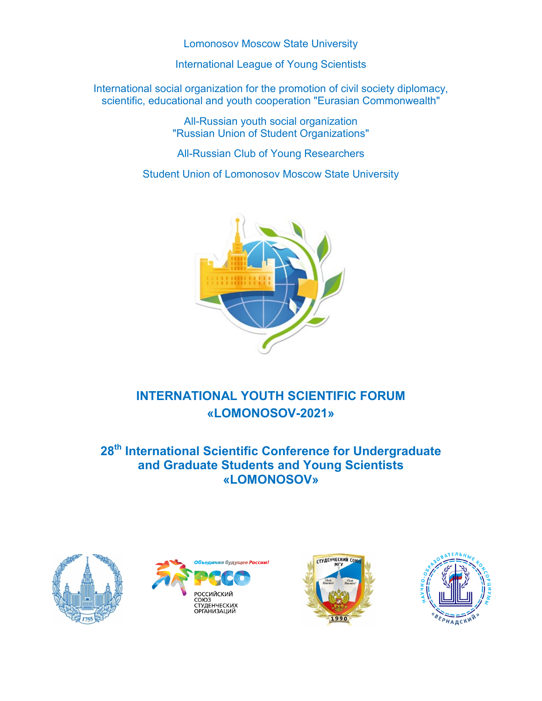Lomonosov Moscow State University

International League of Young Scientists

International social organization for the promotion of civil society diplomacy, scientific, educational and youth cooperation "Eurasian Commonwealth"

> All-Russian youth social organization "Russian Union of Student Organizations"

All-Russian Club of Young Researchers

Student Union of Lomonosov Moscow State University



# **INTERNATIONAL YOUTH SCIENTIFIC FORUM «LOMONOSOV-2021»**

## **28th International Scientific Conference for Undergraduate and Graduate Students and Young Scientists «LOMONOSOV»**







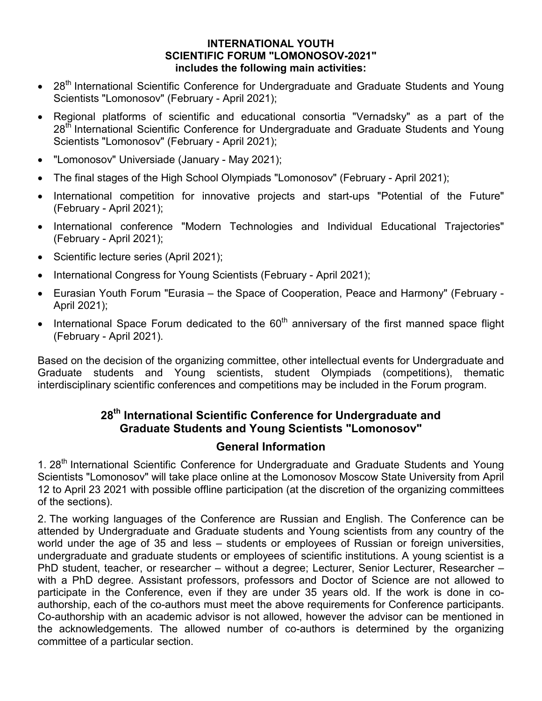#### **INTERNATIONAL YOUTH SCIENTIFIC FORUM "LOMONOSOV-2021" includes the following main activities:**

- 28<sup>th</sup> International Scientific Conference for Undergraduate and Graduate Students and Young Scientists "Lomonosov" (February - April 2021);
- Regional platforms of scientific and educational consortia "Vernadsky" as a part of the 28<sup>th</sup> International Scientific Conference for Undergraduate and Graduate Students and Young Scientists "Lomonosov" (February - April 2021);
- "Lomonosov" Universiade (January May 2021);
- The final stages of the High School Olympiads "Lomonosov" (February April 2021);
- International competition for innovative projects and start-ups "Potential of the Future" (February - April 2021);
- International conference "Modern Technologies and Individual Educational Trajectories" (February - April 2021);
- Scientific lecture series (April 2021);
- International Congress for Young Scientists (February April 2021);
- Eurasian Youth Forum "Eurasia the Space of Cooperation, Peace and Harmony" (February April 2021);
- International Space Forum dedicated to the  $60<sup>th</sup>$  anniversary of the first manned space flight (February - April 2021).

Based on the decision of the organizing committee, other intellectual events for Undergraduate and Graduate students and Young scientists, student Olympiads (competitions), thematic interdisciplinary scientific conferences and competitions may be included in the Forum program.

## **28th International Scientific Conference for Undergraduate and Graduate Students and Young Scientists "Lomonosov"**

#### **General Information**

1. 28<sup>th</sup> International Scientific Conference for Undergraduate and Graduate Students and Young Scientists "Lomonosov" will take place online at the Lomonosov Moscow State University from April 12 to April 23 2021 with possible offline participation (at the discretion of the organizing committees of the sections).

2. The working languages of the Conference are Russian and English. The Conference can be attended by Undergraduate and Graduate students and Young scientists from any country of the world under the age of 35 and less – students or employees of Russian or foreign universities, undergraduate and graduate students or employees of scientific institutions. A young scientist is a PhD student, teacher, or researcher – without a degree; Lecturer, Senior Lecturer, Researcher – with a PhD degree. Assistant professors, professors and Doctor of Science are not allowed to participate in the Conference, even if they are under 35 years old. If the work is done in coauthorship, each of the co-authors must meet the above requirements for Conference participants. Co-authorship with an academic advisor is not allowed, however the advisor can be mentioned in the acknowledgements. The allowed number of co-authors is determined by the organizing committee of a particular section.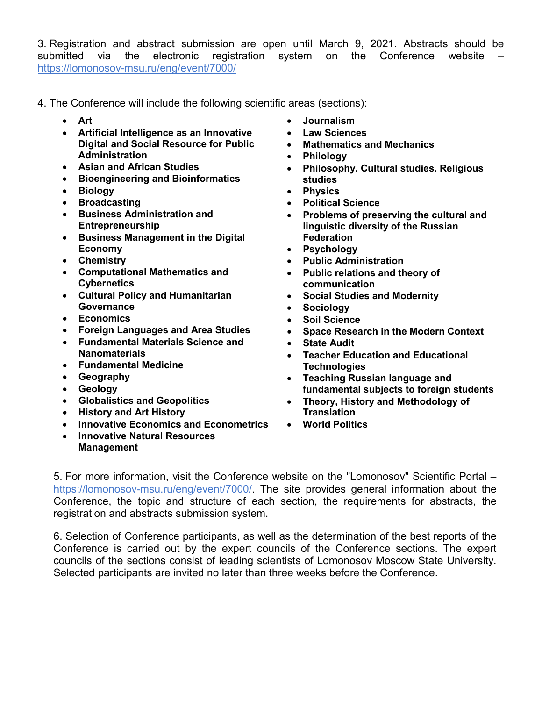3. Registration and abstract submission are open until March 9, 2021. Abstracts should be submitted via the electronic registration system on the Conference website <https://lomonosov-msu.ru/eng/event/7000/>

- 4. The Conference will include the following scientific areas (sections):
	- **Art**
	- **Artificial Intelligence as an Innovative Digital and Social Resource for Public Administration**
	- **Asian and African Studies**
	- **Bioengineering and Bioinformatics**
	- **Biology**
	- **Broadcasting**
	- **Business Administration and Entrepreneurship**
	- **Business Management in the Digital Economy**
	- **Chemistry**
	- **Computational Mathematics and Cybernetics**
	- **Cultural Policy and Humanitarian Governance**
	- **Economics**
	- **Foreign Languages and Area Studies**
	- **Fundamental Materials Science and Nanomaterials**
	- **Fundamental Medicine**
	- **Geography**
	- **Geology**
	- **Globalistics and Geopolitics**
	- **History and Art History**
	- **Innovative Economics and Econometrics**
	- **Innovative Natural Resources Management**
- **Journalism**
- **Law Sciences**
- **Mathematics and Mechanics**
- **Philology**
- **Philosophy. Cultural studies. Religious studies**
- **Physics**
- **Political Science**
- **Problems of preserving the cultural and linguistic diversity of the Russian Federation**
- **Psychology**
- **Public Administration**
- **Public relations and theory of communication**
- **Social Studies and Modernity**
- **Sociology**
- **Soil Science**
- **Space Research in the Modern Context**
- **State Audit**
- **Teacher Education and Educational Technologies**
- **Teaching Russian language and fundamental subjects to foreign students**
- **Theory, History and Methodology of Translation**
- **World Politics**

5. For more information, visit the Conference website on the "Lomonosov" Scientific Portal – [https://lomonosov-msu.ru/eng/event/7000/.](https://lomonosov-msu.ru/eng/event/7000/) The site provides general information about the Conference, the topic and structure of each section, the requirements for abstracts, the registration and abstracts submission system.

6. Selection of Conference participants, as well as the determination of the best reports of the Conference is carried out by the expert councils of the Conference sections. The expert councils of the sections consist of leading scientists of Lomonosov Moscow State University. Selected participants are invited no later than three weeks before the Conference.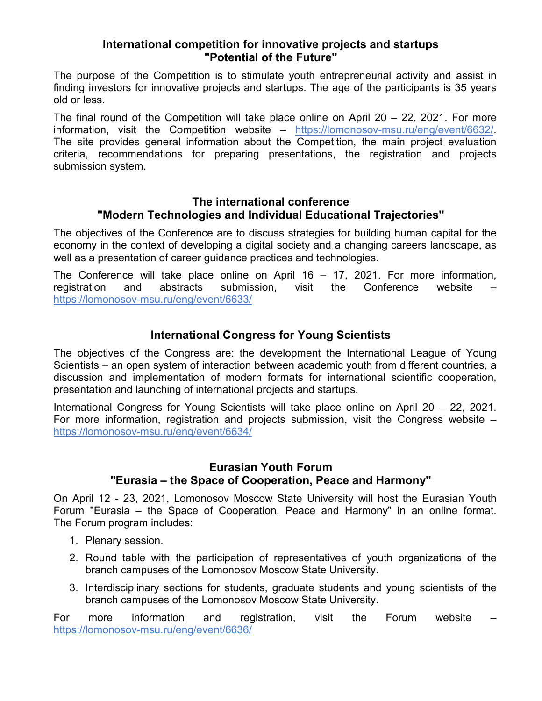#### **International competition for innovative projects and startups "Potential of the Future"**

The purpose of the Competition is to stimulate youth entrepreneurial activity and assist in finding investors for innovative projects and startups. The age of the participants is 35 years old or less.

The final round of the Competition will take place online on April 20 – 22, 2021. For more information, visit the Competition website – [https://lomonosov-msu.ru/eng/event/6632/.](https://lomonosov-msu.ru/eng/event/6632/) The site provides general information about the Competition, the main project evaluation criteria, recommendations for preparing presentations, the registration and projects submission system.

#### **The international conference "Modern Technologies and Individual Educational Trajectories"**

The objectives of the Conference are to discuss strategies for building human capital for the economy in the context of developing a digital society and a changing careers landscape, as well as a presentation of career guidance practices and technologies.

The Conference will take place online on April 16 – 17, 2021. For more information, registration and abstracts submission, visit the Conference website – <https://lomonosov-msu.ru/eng/event/6633/>

## **International Congress for Young Scientists**

The objectives of the Congress are: the development the International League of Young Scientists – an open system of interaction between academic youth from different countries, a discussion and implementation of modern formats for international scientific cooperation, presentation and launching of international projects and startups.

International Congress for Young Scientists will take place online on April 20 – 22, 2021. For more information, registration and projects submission, visit the Congress website – <https://lomonosov-msu.ru/eng/event/6634/>

### **Eurasian Youth Forum "Eurasia – the Space of Cooperation, Peace and Harmony"**

On April 12 - 23, 2021, Lomonosov Moscow State University will host the Eurasian Youth Forum "Eurasia – the Space of Cooperation, Peace and Harmony" in an online format. The Forum program includes:

- 1. Plenary session.
- 2. Round table with the participation of representatives of youth organizations of the branch campuses of the Lomonosov Moscow State University.
- 3. Interdisciplinary sections for students, graduate students and young scientists of the branch campuses of the Lomonosov Moscow State University.

For more information and registration, visit the Forum website <https://lomonosov-msu.ru/eng/event/6636/>